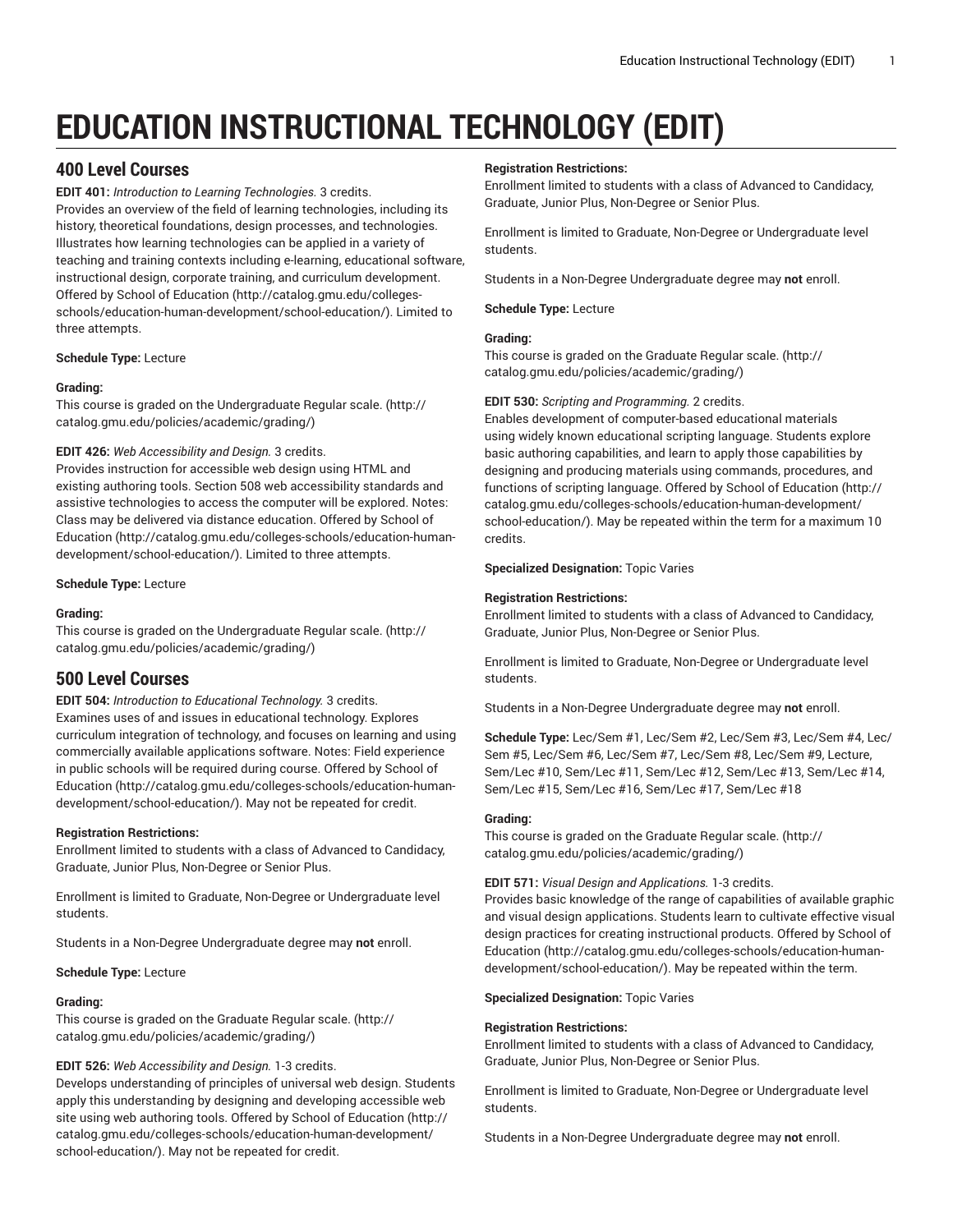# **EDUCATION INSTRUCTIONAL TECHNOLOGY (EDIT)**

# **400 Level Courses**

**EDIT 401:** *Introduction to Learning Technologies.* 3 credits.

Provides an overview of the field of learning technologies, including its history, theoretical foundations, design processes, and technologies. Illustrates how learning technologies can be applied in a variety of teaching and training contexts including e-learning, educational software, instructional design, corporate training, and curriculum development. Offered by School of [Education](http://catalog.gmu.edu/colleges-schools/education-human-development/school-education/) ([http://catalog.gmu.edu/colleges](http://catalog.gmu.edu/colleges-schools/education-human-development/school-education/)[schools/education-human-development/school-education/\)](http://catalog.gmu.edu/colleges-schools/education-human-development/school-education/). Limited to three attempts.

# **Schedule Type:** Lecture

# **Grading:**

This course is graded on the [Undergraduate](http://catalog.gmu.edu/policies/academic/grading/) Regular scale. ([http://](http://catalog.gmu.edu/policies/academic/grading/) [catalog.gmu.edu/policies/academic/grading/\)](http://catalog.gmu.edu/policies/academic/grading/)

# **EDIT 426:** *Web Accessibility and Design.* 3 credits.

Provides instruction for accessible web design using HTML and existing authoring tools. Section 508 web accessibility standards and assistive technologies to access the computer will be explored. Notes: Class may be delivered via distance education. Offered by [School of](http://catalog.gmu.edu/colleges-schools/education-human-development/school-education/) [Education](http://catalog.gmu.edu/colleges-schools/education-human-development/school-education/) ([http://catalog.gmu.edu/colleges-schools/education-human](http://catalog.gmu.edu/colleges-schools/education-human-development/school-education/)[development/school-education/](http://catalog.gmu.edu/colleges-schools/education-human-development/school-education/)). Limited to three attempts.

**Schedule Type:** Lecture

# **Grading:**

This course is graded on the [Undergraduate](http://catalog.gmu.edu/policies/academic/grading/) Regular scale. ([http://](http://catalog.gmu.edu/policies/academic/grading/) [catalog.gmu.edu/policies/academic/grading/\)](http://catalog.gmu.edu/policies/academic/grading/)

# **500 Level Courses**

**EDIT 504:** *Introduction to Educational Technology.* 3 credits.

Examines uses of and issues in educational technology. Explores curriculum integration of technology, and focuses on learning and using commercially available applications software. Notes: Field experience in public schools will be required during course. Offered by [School of](http://catalog.gmu.edu/colleges-schools/education-human-development/school-education/) [Education](http://catalog.gmu.edu/colleges-schools/education-human-development/school-education/) ([http://catalog.gmu.edu/colleges-schools/education-human](http://catalog.gmu.edu/colleges-schools/education-human-development/school-education/)[development/school-education/](http://catalog.gmu.edu/colleges-schools/education-human-development/school-education/)). May not be repeated for credit.

# **Registration Restrictions:**

Enrollment limited to students with a class of Advanced to Candidacy, Graduate, Junior Plus, Non-Degree or Senior Plus.

Enrollment is limited to Graduate, Non-Degree or Undergraduate level students.

Students in a Non-Degree Undergraduate degree may **not** enroll.

# **Schedule Type:** Lecture

# **Grading:**

This course is graded on the [Graduate Regular scale.](http://catalog.gmu.edu/policies/academic/grading/) [\(http://](http://catalog.gmu.edu/policies/academic/grading/) [catalog.gmu.edu/policies/academic/grading/\)](http://catalog.gmu.edu/policies/academic/grading/)

# **EDIT 526:** *Web Accessibility and Design.* 1-3 credits.

Develops understanding of principles of universal web design. Students apply this understanding by designing and developing accessible web site using web authoring tools. Offered by School of [Education \(http://](http://catalog.gmu.edu/colleges-schools/education-human-development/school-education/) [catalog.gmu.edu/colleges-schools/education-human-development/](http://catalog.gmu.edu/colleges-schools/education-human-development/school-education/) [school-education/](http://catalog.gmu.edu/colleges-schools/education-human-development/school-education/)). May not be repeated for credit.

# **Registration Restrictions:**

Enrollment limited to students with a class of Advanced to Candidacy, Graduate, Junior Plus, Non-Degree or Senior Plus.

Enrollment is limited to Graduate, Non-Degree or Undergraduate level students.

Students in a Non-Degree Undergraduate degree may **not** enroll.

**Schedule Type:** Lecture

# **Grading:**

This course is graded on the [Graduate Regular scale.](http://catalog.gmu.edu/policies/academic/grading/) ([http://](http://catalog.gmu.edu/policies/academic/grading/) [catalog.gmu.edu/policies/academic/grading/](http://catalog.gmu.edu/policies/academic/grading/))

# **EDIT 530:** *Scripting and Programming.* 2 credits.

Enables development of computer-based educational materials using widely known educational scripting language. Students explore basic authoring capabilities, and learn to apply those capabilities by designing and producing materials using commands, procedures, and functions of scripting language. Offered by School of [Education](http://catalog.gmu.edu/colleges-schools/education-human-development/school-education/) ([http://](http://catalog.gmu.edu/colleges-schools/education-human-development/school-education/) [catalog.gmu.edu/colleges-schools/education-human-development/](http://catalog.gmu.edu/colleges-schools/education-human-development/school-education/) [school-education/\)](http://catalog.gmu.edu/colleges-schools/education-human-development/school-education/). May be repeated within the term for a maximum 10 credits.

**Specialized Designation:** Topic Varies

# **Registration Restrictions:**

Enrollment limited to students with a class of Advanced to Candidacy, Graduate, Junior Plus, Non-Degree or Senior Plus.

Enrollment is limited to Graduate, Non-Degree or Undergraduate level students.

Students in a Non-Degree Undergraduate degree may **not** enroll.

**Schedule Type:** Lec/Sem #1, Lec/Sem #2, Lec/Sem #3, Lec/Sem #4, Lec/ Sem #5, Lec/Sem #6, Lec/Sem #7, Lec/Sem #8, Lec/Sem #9, Lecture, Sem/Lec #10, Sem/Lec #11, Sem/Lec #12, Sem/Lec #13, Sem/Lec #14, Sem/Lec #15, Sem/Lec #16, Sem/Lec #17, Sem/Lec #18

# **Grading:**

This course is graded on the [Graduate Regular scale.](http://catalog.gmu.edu/policies/academic/grading/) ([http://](http://catalog.gmu.edu/policies/academic/grading/) [catalog.gmu.edu/policies/academic/grading/](http://catalog.gmu.edu/policies/academic/grading/))

# **EDIT 571:** *Visual Design and Applications.* 1-3 credits.

Provides basic knowledge of the range of capabilities of available graphic and visual design applications. Students learn to cultivate effective visual design practices for creating instructional products. Offered by [School of](http://catalog.gmu.edu/colleges-schools/education-human-development/school-education/) [Education \(http://catalog.gmu.edu/colleges-schools/education-human](http://catalog.gmu.edu/colleges-schools/education-human-development/school-education/)[development/school-education/\)](http://catalog.gmu.edu/colleges-schools/education-human-development/school-education/). May be repeated within the term.

# **Specialized Designation:** Topic Varies

# **Registration Restrictions:**

Enrollment limited to students with a class of Advanced to Candidacy, Graduate, Junior Plus, Non-Degree or Senior Plus.

Enrollment is limited to Graduate, Non-Degree or Undergraduate level students.

Students in a Non-Degree Undergraduate degree may **not** enroll.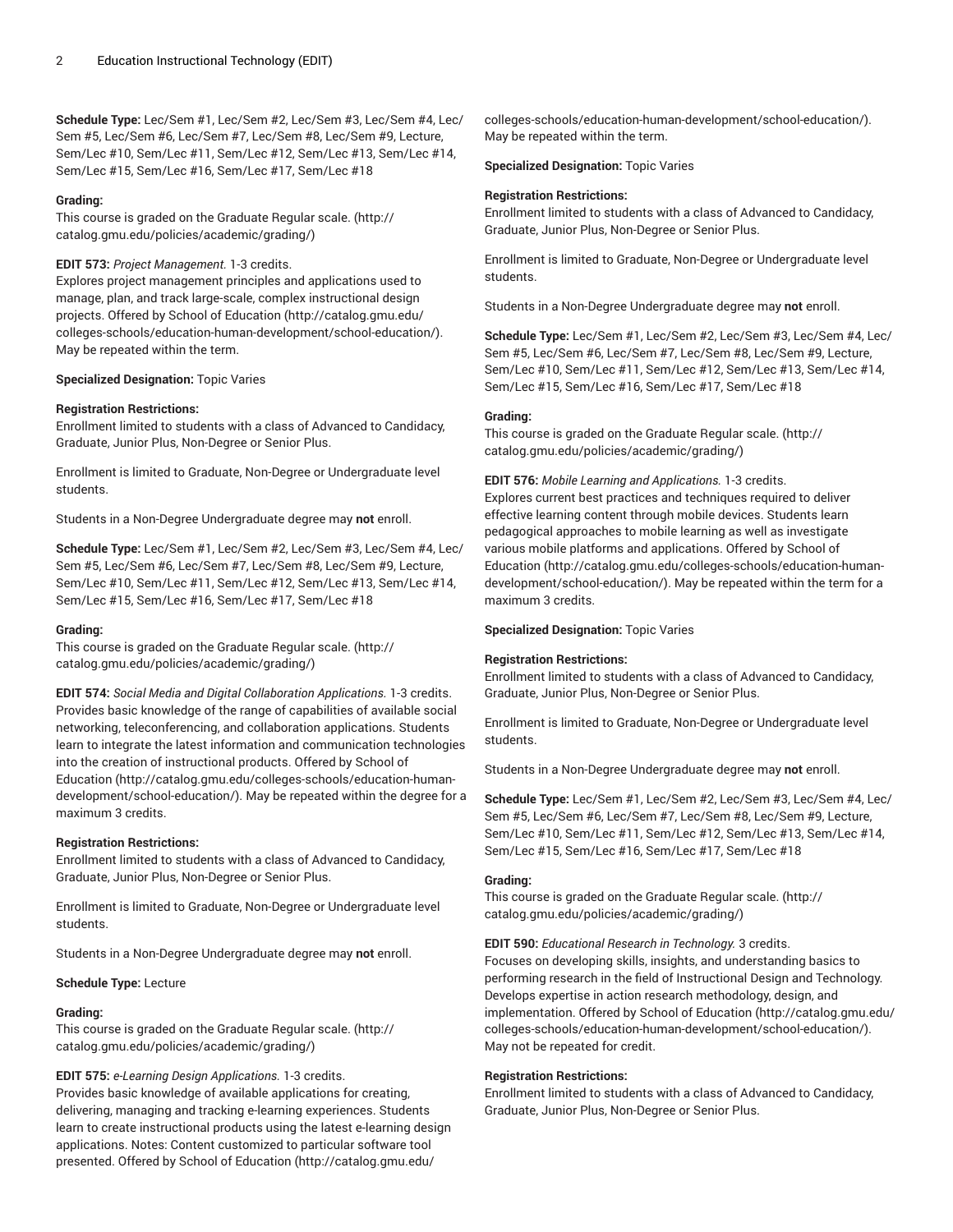**Schedule Type:** Lec/Sem #1, Lec/Sem #2, Lec/Sem #3, Lec/Sem #4, Lec/ Sem #5, Lec/Sem #6, Lec/Sem #7, Lec/Sem #8, Lec/Sem #9, Lecture, Sem/Lec #10, Sem/Lec #11, Sem/Lec #12, Sem/Lec #13, Sem/Lec #14, Sem/Lec #15, Sem/Lec #16, Sem/Lec #17, Sem/Lec #18

# **Grading:**

This course is graded on the [Graduate Regular scale.](http://catalog.gmu.edu/policies/academic/grading/) [\(http://](http://catalog.gmu.edu/policies/academic/grading/) [catalog.gmu.edu/policies/academic/grading/\)](http://catalog.gmu.edu/policies/academic/grading/)

# **EDIT 573:** *Project Management.* 1-3 credits.

Explores project management principles and applications used to manage, plan, and track large-scale, complex instructional design projects. Offered by School of [Education \(http://catalog.gmu.edu/](http://catalog.gmu.edu/colleges-schools/education-human-development/school-education/) [colleges-schools/education-human-development/school-education/](http://catalog.gmu.edu/colleges-schools/education-human-development/school-education/)). May be repeated within the term.

# **Specialized Designation:** Topic Varies

# **Registration Restrictions:**

Enrollment limited to students with a class of Advanced to Candidacy, Graduate, Junior Plus, Non-Degree or Senior Plus.

Enrollment is limited to Graduate, Non-Degree or Undergraduate level students.

Students in a Non-Degree Undergraduate degree may **not** enroll.

**Schedule Type:** Lec/Sem #1, Lec/Sem #2, Lec/Sem #3, Lec/Sem #4, Lec/ Sem #5, Lec/Sem #6, Lec/Sem #7, Lec/Sem #8, Lec/Sem #9, Lecture, Sem/Lec #10, Sem/Lec #11, Sem/Lec #12, Sem/Lec #13, Sem/Lec #14, Sem/Lec #15, Sem/Lec #16, Sem/Lec #17, Sem/Lec #18

# **Grading:**

This course is graded on the [Graduate Regular scale.](http://catalog.gmu.edu/policies/academic/grading/) [\(http://](http://catalog.gmu.edu/policies/academic/grading/) [catalog.gmu.edu/policies/academic/grading/\)](http://catalog.gmu.edu/policies/academic/grading/)

**EDIT 574:** *Social Media and Digital Collaboration Applications.* 1-3 credits. Provides basic knowledge of the range of capabilities of available social networking, teleconferencing, and collaboration applications. Students learn to integrate the latest information and communication technologies into the creation of instructional products. Offered by [School of](http://catalog.gmu.edu/colleges-schools/education-human-development/school-education/) [Education](http://catalog.gmu.edu/colleges-schools/education-human-development/school-education/) ([http://catalog.gmu.edu/colleges-schools/education-human](http://catalog.gmu.edu/colleges-schools/education-human-development/school-education/)[development/school-education/](http://catalog.gmu.edu/colleges-schools/education-human-development/school-education/)). May be repeated within the degree for a maximum 3 credits.

# **Registration Restrictions:**

Enrollment limited to students with a class of Advanced to Candidacy, Graduate, Junior Plus, Non-Degree or Senior Plus.

Enrollment is limited to Graduate, Non-Degree or Undergraduate level students.

Students in a Non-Degree Undergraduate degree may **not** enroll.

**Schedule Type:** Lecture

# **Grading:**

This course is graded on the [Graduate Regular scale.](http://catalog.gmu.edu/policies/academic/grading/) [\(http://](http://catalog.gmu.edu/policies/academic/grading/) [catalog.gmu.edu/policies/academic/grading/\)](http://catalog.gmu.edu/policies/academic/grading/)

# **EDIT 575:** *e-Learning Design Applications.* 1-3 credits.

Provides basic knowledge of available applications for creating, delivering, managing and tracking e-learning experiences. Students learn to create instructional products using the latest e-learning design applications. Notes: Content customized to particular software tool presented. Offered by School of [Education](http://catalog.gmu.edu/colleges-schools/education-human-development/school-education/) ([http://catalog.gmu.edu/](http://catalog.gmu.edu/colleges-schools/education-human-development/school-education/)

[colleges-schools/education-human-development/school-education/](http://catalog.gmu.edu/colleges-schools/education-human-development/school-education/)). May be repeated within the term.

# **Specialized Designation:** Topic Varies

# **Registration Restrictions:**

Enrollment limited to students with a class of Advanced to Candidacy, Graduate, Junior Plus, Non-Degree or Senior Plus.

Enrollment is limited to Graduate, Non-Degree or Undergraduate level students.

Students in a Non-Degree Undergraduate degree may **not** enroll.

**Schedule Type:** Lec/Sem #1, Lec/Sem #2, Lec/Sem #3, Lec/Sem #4, Lec/ Sem #5, Lec/Sem #6, Lec/Sem #7, Lec/Sem #8, Lec/Sem #9, Lecture, Sem/Lec #10, Sem/Lec #11, Sem/Lec #12, Sem/Lec #13, Sem/Lec #14, Sem/Lec #15, Sem/Lec #16, Sem/Lec #17, Sem/Lec #18

# **Grading:**

This course is graded on the [Graduate Regular scale.](http://catalog.gmu.edu/policies/academic/grading/) ([http://](http://catalog.gmu.edu/policies/academic/grading/) [catalog.gmu.edu/policies/academic/grading/](http://catalog.gmu.edu/policies/academic/grading/))

# **EDIT 576:** *Mobile Learning and Applications.* 1-3 credits.

Explores current best practices and techniques required to deliver effective learning content through mobile devices. Students learn pedagogical approaches to mobile learning as well as investigate various mobile platforms and applications. Offered by [School of](http://catalog.gmu.edu/colleges-schools/education-human-development/school-education/) [Education \(http://catalog.gmu.edu/colleges-schools/education-human](http://catalog.gmu.edu/colleges-schools/education-human-development/school-education/)[development/school-education/\)](http://catalog.gmu.edu/colleges-schools/education-human-development/school-education/). May be repeated within the term for a maximum 3 credits.

**Specialized Designation:** Topic Varies

# **Registration Restrictions:**

Enrollment limited to students with a class of Advanced to Candidacy, Graduate, Junior Plus, Non-Degree or Senior Plus.

Enrollment is limited to Graduate, Non-Degree or Undergraduate level students.

Students in a Non-Degree Undergraduate degree may **not** enroll.

**Schedule Type:** Lec/Sem #1, Lec/Sem #2, Lec/Sem #3, Lec/Sem #4, Lec/ Sem #5, Lec/Sem #6, Lec/Sem #7, Lec/Sem #8, Lec/Sem #9, Lecture, Sem/Lec #10, Sem/Lec #11, Sem/Lec #12, Sem/Lec #13, Sem/Lec #14, Sem/Lec #15, Sem/Lec #16, Sem/Lec #17, Sem/Lec #18

# **Grading:**

This course is graded on the [Graduate Regular scale.](http://catalog.gmu.edu/policies/academic/grading/) ([http://](http://catalog.gmu.edu/policies/academic/grading/) [catalog.gmu.edu/policies/academic/grading/](http://catalog.gmu.edu/policies/academic/grading/))

**EDIT 590:** *Educational Research in Technology.* 3 credits.

Focuses on developing skills, insights, and understanding basics to performing research in the field of Instructional Design and Technology. Develops expertise in action research methodology, design, and implementation. Offered by School of [Education](http://catalog.gmu.edu/colleges-schools/education-human-development/school-education/) [\(http://catalog.gmu.edu/](http://catalog.gmu.edu/colleges-schools/education-human-development/school-education/) [colleges-schools/education-human-development/school-education/](http://catalog.gmu.edu/colleges-schools/education-human-development/school-education/)). May not be repeated for credit.

# **Registration Restrictions:**

Enrollment limited to students with a class of Advanced to Candidacy, Graduate, Junior Plus, Non-Degree or Senior Plus.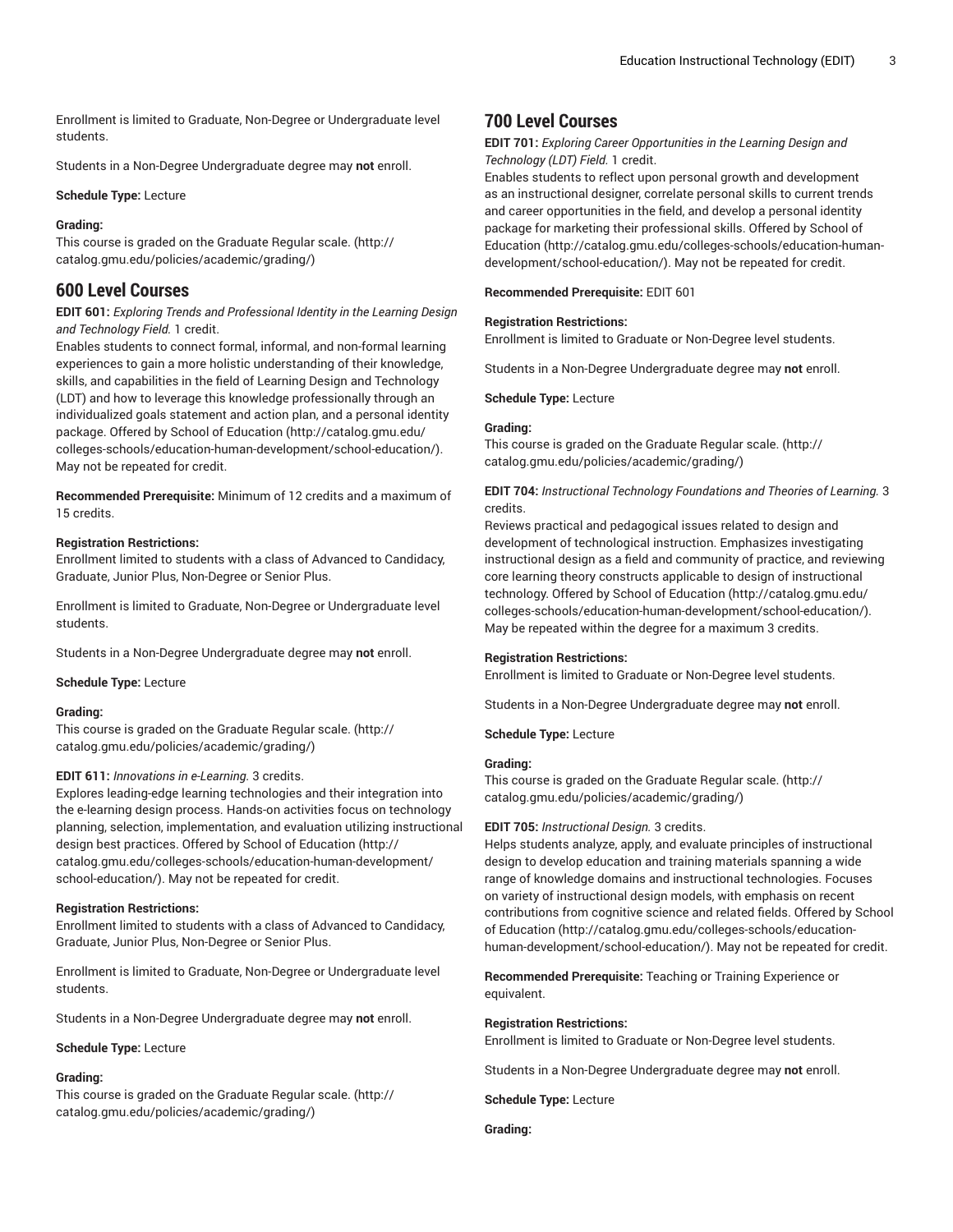Enrollment is limited to Graduate, Non-Degree or Undergraduate level students.

Students in a Non-Degree Undergraduate degree may **not** enroll.

**Schedule Type:** Lecture

# **Grading:**

This course is graded on the [Graduate Regular scale.](http://catalog.gmu.edu/policies/academic/grading/) [\(http://](http://catalog.gmu.edu/policies/academic/grading/) [catalog.gmu.edu/policies/academic/grading/\)](http://catalog.gmu.edu/policies/academic/grading/)

# **600 Level Courses**

# **EDIT 601:** *Exploring Trends and Professional Identity in the Learning Design and Technology Field.* 1 credit.

Enables students to connect formal, informal, and non-formal learning experiences to gain a more holistic understanding of their knowledge, skills, and capabilities in the field of Learning Design and Technology (LDT) and how to leverage this knowledge professionally through an individualized goals statement and action plan, and a personal identity package. Offered by School of [Education](http://catalog.gmu.edu/colleges-schools/education-human-development/school-education/) ([http://catalog.gmu.edu/](http://catalog.gmu.edu/colleges-schools/education-human-development/school-education/) [colleges-schools/education-human-development/school-education/](http://catalog.gmu.edu/colleges-schools/education-human-development/school-education/)). May not be repeated for credit.

**Recommended Prerequisite:** Minimum of 12 credits and a maximum of 15 credits.

# **Registration Restrictions:**

Enrollment limited to students with a class of Advanced to Candidacy, Graduate, Junior Plus, Non-Degree or Senior Plus.

Enrollment is limited to Graduate, Non-Degree or Undergraduate level students.

Students in a Non-Degree Undergraduate degree may **not** enroll.

**Schedule Type:** Lecture

# **Grading:**

This course is graded on the [Graduate Regular scale.](http://catalog.gmu.edu/policies/academic/grading/) [\(http://](http://catalog.gmu.edu/policies/academic/grading/) [catalog.gmu.edu/policies/academic/grading/\)](http://catalog.gmu.edu/policies/academic/grading/)

# **EDIT 611:** *Innovations in e-Learning.* 3 credits.

Explores leading-edge learning technologies and their integration into the e-learning design process. Hands-on activities focus on technology planning, selection, implementation, and evaluation utilizing instructional design best practices. Offered by School of [Education](http://catalog.gmu.edu/colleges-schools/education-human-development/school-education/) [\(http://](http://catalog.gmu.edu/colleges-schools/education-human-development/school-education/) [catalog.gmu.edu/colleges-schools/education-human-development/](http://catalog.gmu.edu/colleges-schools/education-human-development/school-education/) [school-education/](http://catalog.gmu.edu/colleges-schools/education-human-development/school-education/)). May not be repeated for credit.

# **Registration Restrictions:**

Enrollment limited to students with a class of Advanced to Candidacy, Graduate, Junior Plus, Non-Degree or Senior Plus.

Enrollment is limited to Graduate, Non-Degree or Undergraduate level students.

Students in a Non-Degree Undergraduate degree may **not** enroll.

#### **Schedule Type:** Lecture

# **Grading:**

This course is graded on the [Graduate Regular scale.](http://catalog.gmu.edu/policies/academic/grading/) [\(http://](http://catalog.gmu.edu/policies/academic/grading/) [catalog.gmu.edu/policies/academic/grading/\)](http://catalog.gmu.edu/policies/academic/grading/)

# **700 Level Courses**

# **EDIT 701:** *Exploring Career Opportunities in the Learning Design and Technology (LDT) Field.* 1 credit.

Enables students to reflect upon personal growth and development as an instructional designer, correlate personal skills to current trends and career opportunities in the field, and develop a personal identity package for marketing their professional skills. Offered by [School of](http://catalog.gmu.edu/colleges-schools/education-human-development/school-education/) [Education \(http://catalog.gmu.edu/colleges-schools/education-human](http://catalog.gmu.edu/colleges-schools/education-human-development/school-education/)[development/school-education/\)](http://catalog.gmu.edu/colleges-schools/education-human-development/school-education/). May not be repeated for credit.

**Recommended Prerequisite:** EDIT 601

#### **Registration Restrictions:**

Enrollment is limited to Graduate or Non-Degree level students.

Students in a Non-Degree Undergraduate degree may **not** enroll.

**Schedule Type:** Lecture

# **Grading:**

This course is graded on the [Graduate Regular scale.](http://catalog.gmu.edu/policies/academic/grading/) ([http://](http://catalog.gmu.edu/policies/academic/grading/) [catalog.gmu.edu/policies/academic/grading/](http://catalog.gmu.edu/policies/academic/grading/))

# **EDIT 704:** *Instructional Technology Foundations and Theories of Learning.* 3 credits.

Reviews practical and pedagogical issues related to design and development of technological instruction. Emphasizes investigating instructional design as a field and community of practice, and reviewing core learning theory constructs applicable to design of instructional technology. Offered by School of [Education](http://catalog.gmu.edu/colleges-schools/education-human-development/school-education/) ([http://catalog.gmu.edu/](http://catalog.gmu.edu/colleges-schools/education-human-development/school-education/) [colleges-schools/education-human-development/school-education/](http://catalog.gmu.edu/colleges-schools/education-human-development/school-education/)). May be repeated within the degree for a maximum 3 credits.

# **Registration Restrictions:**

Enrollment is limited to Graduate or Non-Degree level students.

Students in a Non-Degree Undergraduate degree may **not** enroll.

**Schedule Type:** Lecture

# **Grading:**

This course is graded on the [Graduate Regular scale.](http://catalog.gmu.edu/policies/academic/grading/) ([http://](http://catalog.gmu.edu/policies/academic/grading/) [catalog.gmu.edu/policies/academic/grading/](http://catalog.gmu.edu/policies/academic/grading/))

# **EDIT 705:** *Instructional Design.* 3 credits.

Helps students analyze, apply, and evaluate principles of instructional design to develop education and training materials spanning a wide range of knowledge domains and instructional technologies. Focuses on variety of instructional design models, with emphasis on recent contributions from cognitive science and related fields. Offered by [School](http://catalog.gmu.edu/colleges-schools/education-human-development/school-education/) of [Education \(http://catalog.gmu.edu/colleges-schools/education](http://catalog.gmu.edu/colleges-schools/education-human-development/school-education/)[human-development/school-education/\)](http://catalog.gmu.edu/colleges-schools/education-human-development/school-education/). May not be repeated for credit.

**Recommended Prerequisite:** Teaching or Training Experience or equivalent.

#### **Registration Restrictions:**

Enrollment is limited to Graduate or Non-Degree level students.

Students in a Non-Degree Undergraduate degree may **not** enroll.

**Schedule Type:** Lecture

**Grading:**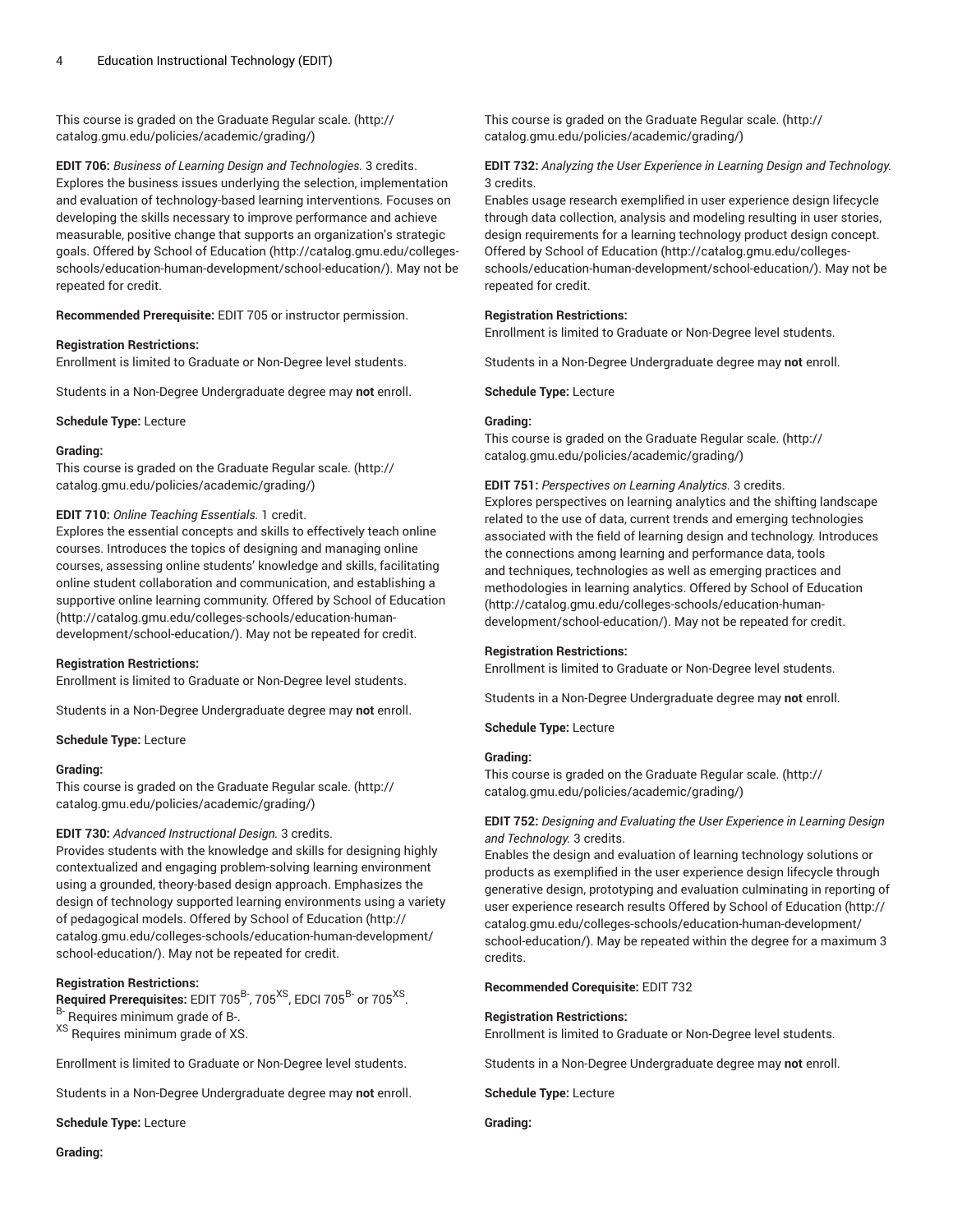This course is graded on the [Graduate Regular scale.](http://catalog.gmu.edu/policies/academic/grading/) [\(http://](http://catalog.gmu.edu/policies/academic/grading/) [catalog.gmu.edu/policies/academic/grading/\)](http://catalog.gmu.edu/policies/academic/grading/)

**EDIT 706:** *Business of Learning Design and Technologies.* 3 credits. Explores the business issues underlying the selection, implementation and evaluation of technology-based learning interventions. Focuses on developing the skills necessary to improve performance and achieve measurable, positive change that supports an organization's strategic goals. Offered by School of [Education](http://catalog.gmu.edu/colleges-schools/education-human-development/school-education/) ([http://catalog.gmu.edu/colleges](http://catalog.gmu.edu/colleges-schools/education-human-development/school-education/)[schools/education-human-development/school-education/\)](http://catalog.gmu.edu/colleges-schools/education-human-development/school-education/). May not be repeated for credit.

**Recommended Prerequisite:** EDIT 705 or instructor permission.

#### **Registration Restrictions:**

Enrollment is limited to Graduate or Non-Degree level students.

Students in a Non-Degree Undergraduate degree may **not** enroll.

**Schedule Type:** Lecture

#### **Grading:**

This course is graded on the [Graduate Regular scale.](http://catalog.gmu.edu/policies/academic/grading/) [\(http://](http://catalog.gmu.edu/policies/academic/grading/) [catalog.gmu.edu/policies/academic/grading/\)](http://catalog.gmu.edu/policies/academic/grading/)

#### **EDIT 710:** *Online Teaching Essentials.* 1 credit.

Explores the essential concepts and skills to effectively teach online courses. Introduces the topics of designing and managing online courses, assessing online students' knowledge and skills, facilitating online student collaboration and communication, and establishing a supportive online learning community. Offered by School of [Education](http://catalog.gmu.edu/colleges-schools/education-human-development/school-education/) ([http://catalog.gmu.edu/colleges-schools/education-human](http://catalog.gmu.edu/colleges-schools/education-human-development/school-education/)[development/school-education/](http://catalog.gmu.edu/colleges-schools/education-human-development/school-education/)). May not be repeated for credit.

#### **Registration Restrictions:**

Enrollment is limited to Graduate or Non-Degree level students.

Students in a Non-Degree Undergraduate degree may **not** enroll.

**Schedule Type:** Lecture

#### **Grading:**

This course is graded on the [Graduate Regular scale.](http://catalog.gmu.edu/policies/academic/grading/) [\(http://](http://catalog.gmu.edu/policies/academic/grading/) [catalog.gmu.edu/policies/academic/grading/\)](http://catalog.gmu.edu/policies/academic/grading/)

#### **EDIT 730:** *Advanced Instructional Design.* 3 credits.

Provides students with the knowledge and skills for designing highly contextualized and engaging problem-solving learning environment using a grounded, theory-based design approach. Emphasizes the design of technology supported learning environments using a variety of pedagogical models. Offered by School of [Education](http://catalog.gmu.edu/colleges-schools/education-human-development/school-education/) ([http://](http://catalog.gmu.edu/colleges-schools/education-human-development/school-education/) [catalog.gmu.edu/colleges-schools/education-human-development/](http://catalog.gmu.edu/colleges-schools/education-human-development/school-education/) [school-education/](http://catalog.gmu.edu/colleges-schools/education-human-development/school-education/)). May not be repeated for credit.

# **Registration Restrictions:**

Required Prerequisites: EDIT 705<sup>B-</sup>, 705<sup>XS</sup>, EDCI 705<sup>B-</sup> or 705<sup>XS</sup>.

B- Requires minimum grade of B-.

XS Requires minimum grade of XS.

Enrollment is limited to Graduate or Non-Degree level students.

Students in a Non-Degree Undergraduate degree may **not** enroll.

**Schedule Type:** Lecture

This course is graded on the [Graduate Regular scale.](http://catalog.gmu.edu/policies/academic/grading/) ([http://](http://catalog.gmu.edu/policies/academic/grading/) [catalog.gmu.edu/policies/academic/grading/](http://catalog.gmu.edu/policies/academic/grading/))

# **EDIT 732:** *Analyzing the User Experience in Learning Design and Technology.* 3 credits.

Enables usage research exemplified in user experience design lifecycle through data collection, analysis and modeling resulting in user stories, design requirements for a learning technology product design concept. Offered by School of [Education \(http://catalog.gmu.edu/colleges](http://catalog.gmu.edu/colleges-schools/education-human-development/school-education/)[schools/education-human-development/school-education/](http://catalog.gmu.edu/colleges-schools/education-human-development/school-education/)). May not be repeated for credit.

#### **Registration Restrictions:**

Enrollment is limited to Graduate or Non-Degree level students.

Students in a Non-Degree Undergraduate degree may **not** enroll.

**Schedule Type:** Lecture

#### **Grading:**

This course is graded on the [Graduate Regular scale.](http://catalog.gmu.edu/policies/academic/grading/) ([http://](http://catalog.gmu.edu/policies/academic/grading/) [catalog.gmu.edu/policies/academic/grading/](http://catalog.gmu.edu/policies/academic/grading/))

**EDIT 751:** *Perspectives on Learning Analytics.* 3 credits.

Explores perspectives on learning analytics and the shifting landscape related to the use of data, current trends and emerging technologies associated with the field of learning design and technology. Introduces the connections among learning and performance data, tools and techniques, technologies as well as emerging practices and methodologies in learning analytics. Offered by School of [Education](http://catalog.gmu.edu/colleges-schools/education-human-development/school-education/) [\(http://catalog.gmu.edu/colleges-schools/education-human](http://catalog.gmu.edu/colleges-schools/education-human-development/school-education/)[development/school-education/\)](http://catalog.gmu.edu/colleges-schools/education-human-development/school-education/). May not be repeated for credit.

#### **Registration Restrictions:**

Enrollment is limited to Graduate or Non-Degree level students.

Students in a Non-Degree Undergraduate degree may **not** enroll.

**Schedule Type:** Lecture

#### **Grading:**

This course is graded on the [Graduate Regular scale.](http://catalog.gmu.edu/policies/academic/grading/) ([http://](http://catalog.gmu.edu/policies/academic/grading/) [catalog.gmu.edu/policies/academic/grading/](http://catalog.gmu.edu/policies/academic/grading/))

# **EDIT 752:** *Designing and Evaluating the User Experience in Learning Design and Technology.* 3 credits.

Enables the design and evaluation of learning technology solutions or products as exemplified in the user experience design lifecycle through generative design, prototyping and evaluation culminating in reporting of user experience research results Offered by School of [Education](http://catalog.gmu.edu/colleges-schools/education-human-development/school-education/) ([http://](http://catalog.gmu.edu/colleges-schools/education-human-development/school-education/) [catalog.gmu.edu/colleges-schools/education-human-development/](http://catalog.gmu.edu/colleges-schools/education-human-development/school-education/) [school-education/\)](http://catalog.gmu.edu/colleges-schools/education-human-development/school-education/). May be repeated within the degree for a maximum 3 credits.

**Recommended Corequisite:** EDIT 732

#### **Registration Restrictions:**

Enrollment is limited to Graduate or Non-Degree level students.

Students in a Non-Degree Undergraduate degree may **not** enroll.

**Schedule Type:** Lecture

**Grading:**

**Grading:**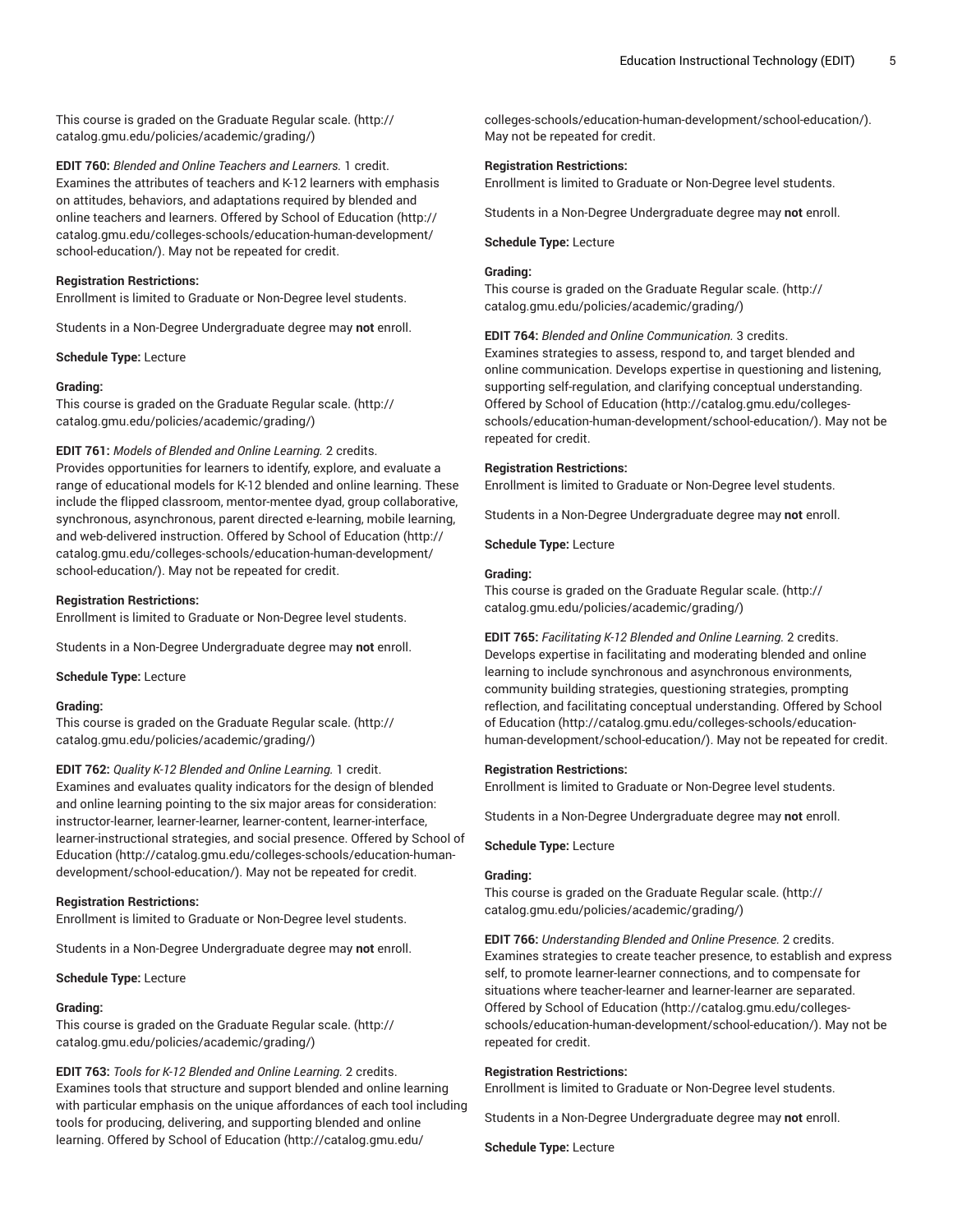This course is graded on the [Graduate Regular scale.](http://catalog.gmu.edu/policies/academic/grading/) [\(http://](http://catalog.gmu.edu/policies/academic/grading/) [catalog.gmu.edu/policies/academic/grading/\)](http://catalog.gmu.edu/policies/academic/grading/)

**EDIT 760:** *Blended and Online Teachers and Learners.* 1 credit. Examines the attributes of teachers and K-12 learners with emphasis on attitudes, behaviors, and adaptations required by blended and online teachers and learners. Offered by School of [Education](http://catalog.gmu.edu/colleges-schools/education-human-development/school-education/) ([http://](http://catalog.gmu.edu/colleges-schools/education-human-development/school-education/) [catalog.gmu.edu/colleges-schools/education-human-development/](http://catalog.gmu.edu/colleges-schools/education-human-development/school-education/) [school-education/](http://catalog.gmu.edu/colleges-schools/education-human-development/school-education/)). May not be repeated for credit.

#### **Registration Restrictions:**

Enrollment is limited to Graduate or Non-Degree level students.

Students in a Non-Degree Undergraduate degree may **not** enroll.

**Schedule Type:** Lecture

#### **Grading:**

This course is graded on the [Graduate Regular scale.](http://catalog.gmu.edu/policies/academic/grading/) [\(http://](http://catalog.gmu.edu/policies/academic/grading/) [catalog.gmu.edu/policies/academic/grading/\)](http://catalog.gmu.edu/policies/academic/grading/)

# **EDIT 761:** *Models of Blended and Online Learning.* 2 credits.

Provides opportunities for learners to identify, explore, and evaluate a range of educational models for K-12 blended and online learning. These include the flipped classroom, mentor-mentee dyad, group collaborative, synchronous, asynchronous, parent directed e-learning, mobile learning, and web-delivered instruction. Offered by School of [Education](http://catalog.gmu.edu/colleges-schools/education-human-development/school-education/) ([http://](http://catalog.gmu.edu/colleges-schools/education-human-development/school-education/) [catalog.gmu.edu/colleges-schools/education-human-development/](http://catalog.gmu.edu/colleges-schools/education-human-development/school-education/) [school-education/](http://catalog.gmu.edu/colleges-schools/education-human-development/school-education/)). May not be repeated for credit.

#### **Registration Restrictions:**

Enrollment is limited to Graduate or Non-Degree level students.

Students in a Non-Degree Undergraduate degree may **not** enroll.

**Schedule Type:** Lecture

## **Grading:**

This course is graded on the [Graduate Regular scale.](http://catalog.gmu.edu/policies/academic/grading/) [\(http://](http://catalog.gmu.edu/policies/academic/grading/) [catalog.gmu.edu/policies/academic/grading/\)](http://catalog.gmu.edu/policies/academic/grading/)

**EDIT 762:** *Quality K-12 Blended and Online Learning.* 1 credit. Examines and evaluates quality indicators for the design of blended and online learning pointing to the six major areas for consideration: instructor-learner, learner-learner, learner-content, learner-interface, learner-instructional strategies, and social presence. Offered by [School of](http://catalog.gmu.edu/colleges-schools/education-human-development/school-education/) [Education](http://catalog.gmu.edu/colleges-schools/education-human-development/school-education/) ([http://catalog.gmu.edu/colleges-schools/education-human](http://catalog.gmu.edu/colleges-schools/education-human-development/school-education/)[development/school-education/](http://catalog.gmu.edu/colleges-schools/education-human-development/school-education/)). May not be repeated for credit.

#### **Registration Restrictions:**

Enrollment is limited to Graduate or Non-Degree level students.

Students in a Non-Degree Undergraduate degree may **not** enroll.

**Schedule Type:** Lecture

#### **Grading:**

This course is graded on the [Graduate Regular scale.](http://catalog.gmu.edu/policies/academic/grading/) [\(http://](http://catalog.gmu.edu/policies/academic/grading/) [catalog.gmu.edu/policies/academic/grading/\)](http://catalog.gmu.edu/policies/academic/grading/)

**EDIT 763:** *Tools for K-12 Blended and Online Learning.* 2 credits. Examines tools that structure and support blended and online learning with particular emphasis on the unique affordances of each tool including tools for producing, delivering, and supporting blended and online learning. Offered by School of [Education](http://catalog.gmu.edu/colleges-schools/education-human-development/school-education/) [\(http://catalog.gmu.edu/](http://catalog.gmu.edu/colleges-schools/education-human-development/school-education/)

[colleges-schools/education-human-development/school-education/](http://catalog.gmu.edu/colleges-schools/education-human-development/school-education/)). May not be repeated for credit.

#### **Registration Restrictions:**

Enrollment is limited to Graduate or Non-Degree level students.

Students in a Non-Degree Undergraduate degree may **not** enroll.

#### **Schedule Type:** Lecture

# **Grading:**

This course is graded on the [Graduate Regular scale.](http://catalog.gmu.edu/policies/academic/grading/) ([http://](http://catalog.gmu.edu/policies/academic/grading/) [catalog.gmu.edu/policies/academic/grading/](http://catalog.gmu.edu/policies/academic/grading/))

**EDIT 764:** *Blended and Online Communication.* 3 credits.

Examines strategies to assess, respond to, and target blended and online communication. Develops expertise in questioning and listening, supporting self-regulation, and clarifying conceptual understanding. Offered by School of [Education \(http://catalog.gmu.edu/colleges](http://catalog.gmu.edu/colleges-schools/education-human-development/school-education/)[schools/education-human-development/school-education/](http://catalog.gmu.edu/colleges-schools/education-human-development/school-education/)). May not be repeated for credit.

#### **Registration Restrictions:**

Enrollment is limited to Graduate or Non-Degree level students.

Students in a Non-Degree Undergraduate degree may **not** enroll.

**Schedule Type:** Lecture

# **Grading:**

This course is graded on the [Graduate Regular scale.](http://catalog.gmu.edu/policies/academic/grading/) ([http://](http://catalog.gmu.edu/policies/academic/grading/) [catalog.gmu.edu/policies/academic/grading/](http://catalog.gmu.edu/policies/academic/grading/))

**EDIT 765:** *Facilitating K-12 Blended and Online Learning.* 2 credits. Develops expertise in facilitating and moderating blended and online learning to include synchronous and asynchronous environments, community building strategies, questioning strategies, prompting reflection, and facilitating conceptual understanding. Offered by [School](http://catalog.gmu.edu/colleges-schools/education-human-development/school-education/) of [Education \(http://catalog.gmu.edu/colleges-schools/education](http://catalog.gmu.edu/colleges-schools/education-human-development/school-education/)[human-development/school-education/\)](http://catalog.gmu.edu/colleges-schools/education-human-development/school-education/). May not be repeated for credit.

#### **Registration Restrictions:**

Enrollment is limited to Graduate or Non-Degree level students.

Students in a Non-Degree Undergraduate degree may **not** enroll.

# **Schedule Type:** Lecture

## **Grading:**

This course is graded on the [Graduate Regular scale.](http://catalog.gmu.edu/policies/academic/grading/) ([http://](http://catalog.gmu.edu/policies/academic/grading/) [catalog.gmu.edu/policies/academic/grading/](http://catalog.gmu.edu/policies/academic/grading/))

**EDIT 766:** *Understanding Blended and Online Presence.* 2 credits. Examines strategies to create teacher presence, to establish and express self, to promote learner-learner connections, and to compensate for situations where teacher-learner and learner-learner are separated. Offered by School of [Education \(http://catalog.gmu.edu/colleges](http://catalog.gmu.edu/colleges-schools/education-human-development/school-education/)[schools/education-human-development/school-education/](http://catalog.gmu.edu/colleges-schools/education-human-development/school-education/)). May not be repeated for credit.

#### **Registration Restrictions:**

Enrollment is limited to Graduate or Non-Degree level students.

Students in a Non-Degree Undergraduate degree may **not** enroll.

**Schedule Type:** Lecture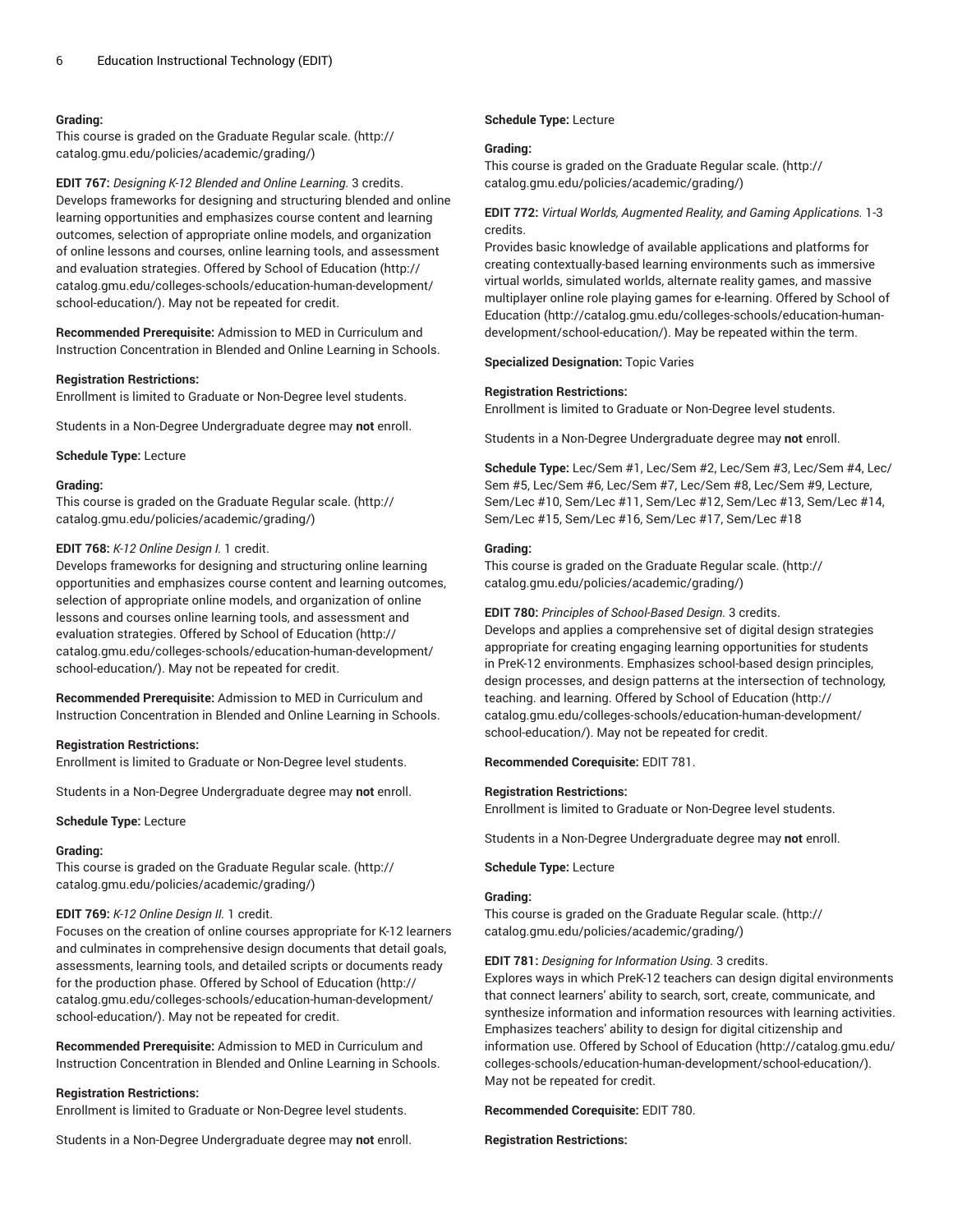#### **Grading:**

This course is graded on the [Graduate Regular scale.](http://catalog.gmu.edu/policies/academic/grading/) [\(http://](http://catalog.gmu.edu/policies/academic/grading/) [catalog.gmu.edu/policies/academic/grading/\)](http://catalog.gmu.edu/policies/academic/grading/)

**EDIT 767:** *Designing K-12 Blended and Online Learning.* 3 credits. Develops frameworks for designing and structuring blended and online learning opportunities and emphasizes course content and learning outcomes, selection of appropriate online models, and organization of online lessons and courses, online learning tools, and assessment and evaluation strategies. Offered by School of [Education](http://catalog.gmu.edu/colleges-schools/education-human-development/school-education/) ([http://](http://catalog.gmu.edu/colleges-schools/education-human-development/school-education/) [catalog.gmu.edu/colleges-schools/education-human-development/](http://catalog.gmu.edu/colleges-schools/education-human-development/school-education/) [school-education/](http://catalog.gmu.edu/colleges-schools/education-human-development/school-education/)). May not be repeated for credit.

**Recommended Prerequisite:** Admission to MED in Curriculum and Instruction Concentration in Blended and Online Learning in Schools.

# **Registration Restrictions:**

Enrollment is limited to Graduate or Non-Degree level students.

Students in a Non-Degree Undergraduate degree may **not** enroll.

**Schedule Type:** Lecture

#### **Grading:**

This course is graded on the [Graduate Regular scale.](http://catalog.gmu.edu/policies/academic/grading/) [\(http://](http://catalog.gmu.edu/policies/academic/grading/) [catalog.gmu.edu/policies/academic/grading/\)](http://catalog.gmu.edu/policies/academic/grading/)

## **EDIT 768:** *K-12 Online Design I.* 1 credit.

Develops frameworks for designing and structuring online learning opportunities and emphasizes course content and learning outcomes, selection of appropriate online models, and organization of online lessons and courses online learning tools, and assessment and evaluation strategies. Offered by School of [Education \(http://](http://catalog.gmu.edu/colleges-schools/education-human-development/school-education/) [catalog.gmu.edu/colleges-schools/education-human-development/](http://catalog.gmu.edu/colleges-schools/education-human-development/school-education/) [school-education/](http://catalog.gmu.edu/colleges-schools/education-human-development/school-education/)). May not be repeated for credit.

**Recommended Prerequisite:** Admission to MED in Curriculum and Instruction Concentration in Blended and Online Learning in Schools.

## **Registration Restrictions:**

Enrollment is limited to Graduate or Non-Degree level students.

Students in a Non-Degree Undergraduate degree may **not** enroll.

#### **Schedule Type:** Lecture

#### **Grading:**

This course is graded on the [Graduate Regular scale.](http://catalog.gmu.edu/policies/academic/grading/) [\(http://](http://catalog.gmu.edu/policies/academic/grading/) [catalog.gmu.edu/policies/academic/grading/\)](http://catalog.gmu.edu/policies/academic/grading/)

#### **EDIT 769:** *K-12 Online Design II.* 1 credit.

Focuses on the creation of online courses appropriate for K-12 learners and culminates in comprehensive design documents that detail goals, assessments, learning tools, and detailed scripts or documents ready for the production phase. Offered by School of [Education \(http://](http://catalog.gmu.edu/colleges-schools/education-human-development/school-education/) [catalog.gmu.edu/colleges-schools/education-human-development/](http://catalog.gmu.edu/colleges-schools/education-human-development/school-education/) [school-education/](http://catalog.gmu.edu/colleges-schools/education-human-development/school-education/)). May not be repeated for credit.

**Recommended Prerequisite:** Admission to MED in Curriculum and Instruction Concentration in Blended and Online Learning in Schools.

#### **Registration Restrictions:**

Enrollment is limited to Graduate or Non-Degree level students.

Students in a Non-Degree Undergraduate degree may **not** enroll.

#### **Schedule Type:** Lecture

#### **Grading:**

This course is graded on the [Graduate Regular scale.](http://catalog.gmu.edu/policies/academic/grading/) ([http://](http://catalog.gmu.edu/policies/academic/grading/) [catalog.gmu.edu/policies/academic/grading/](http://catalog.gmu.edu/policies/academic/grading/))

# **EDIT 772:** *Virtual Worlds, Augmented Reality, and Gaming Applications.* 1-3 credits.

Provides basic knowledge of available applications and platforms for creating contextually-based learning environments such as immersive virtual worlds, simulated worlds, alternate reality games, and massive multiplayer online role playing games for e-learning. Offered by [School of](http://catalog.gmu.edu/colleges-schools/education-human-development/school-education/) [Education \(http://catalog.gmu.edu/colleges-schools/education-human](http://catalog.gmu.edu/colleges-schools/education-human-development/school-education/)[development/school-education/\)](http://catalog.gmu.edu/colleges-schools/education-human-development/school-education/). May be repeated within the term.

**Specialized Designation:** Topic Varies

#### **Registration Restrictions:**

Enrollment is limited to Graduate or Non-Degree level students.

Students in a Non-Degree Undergraduate degree may **not** enroll.

**Schedule Type:** Lec/Sem #1, Lec/Sem #2, Lec/Sem #3, Lec/Sem #4, Lec/ Sem #5, Lec/Sem #6, Lec/Sem #7, Lec/Sem #8, Lec/Sem #9, Lecture, Sem/Lec #10, Sem/Lec #11, Sem/Lec #12, Sem/Lec #13, Sem/Lec #14, Sem/Lec #15, Sem/Lec #16, Sem/Lec #17, Sem/Lec #18

#### **Grading:**

This course is graded on the [Graduate Regular scale.](http://catalog.gmu.edu/policies/academic/grading/) ([http://](http://catalog.gmu.edu/policies/academic/grading/) [catalog.gmu.edu/policies/academic/grading/](http://catalog.gmu.edu/policies/academic/grading/))

#### **EDIT 780:** *Principles of School-Based Design.* 3 credits.

Develops and applies a comprehensive set of digital design strategies appropriate for creating engaging learning opportunities for students in PreK-12 environments. Emphasizes school-based design principles, design processes, and design patterns at the intersection of technology, teaching. and learning. Offered by School of [Education \(http://](http://catalog.gmu.edu/colleges-schools/education-human-development/school-education/) [catalog.gmu.edu/colleges-schools/education-human-development/](http://catalog.gmu.edu/colleges-schools/education-human-development/school-education/) [school-education/\)](http://catalog.gmu.edu/colleges-schools/education-human-development/school-education/). May not be repeated for credit.

**Recommended Corequisite:** EDIT 781.

#### **Registration Restrictions:**

Enrollment is limited to Graduate or Non-Degree level students.

Students in a Non-Degree Undergraduate degree may **not** enroll.

# **Schedule Type:** Lecture

## **Grading:**

This course is graded on the [Graduate Regular scale.](http://catalog.gmu.edu/policies/academic/grading/) ([http://](http://catalog.gmu.edu/policies/academic/grading/) [catalog.gmu.edu/policies/academic/grading/](http://catalog.gmu.edu/policies/academic/grading/))

# **EDIT 781:** *Designing for Information Using.* 3 credits.

Explores ways in which PreK-12 teachers can design digital environments that connect learners' ability to search, sort, create, communicate, and synthesize information and information resources with learning activities. Emphasizes teachers' ability to design for digital citizenship and information use. Offered by School of [Education \(http://catalog.gmu.edu/](http://catalog.gmu.edu/colleges-schools/education-human-development/school-education/) [colleges-schools/education-human-development/school-education/](http://catalog.gmu.edu/colleges-schools/education-human-development/school-education/)). May not be repeated for credit.

#### **Recommended Corequisite:** EDIT 780.

#### **Registration Restrictions:**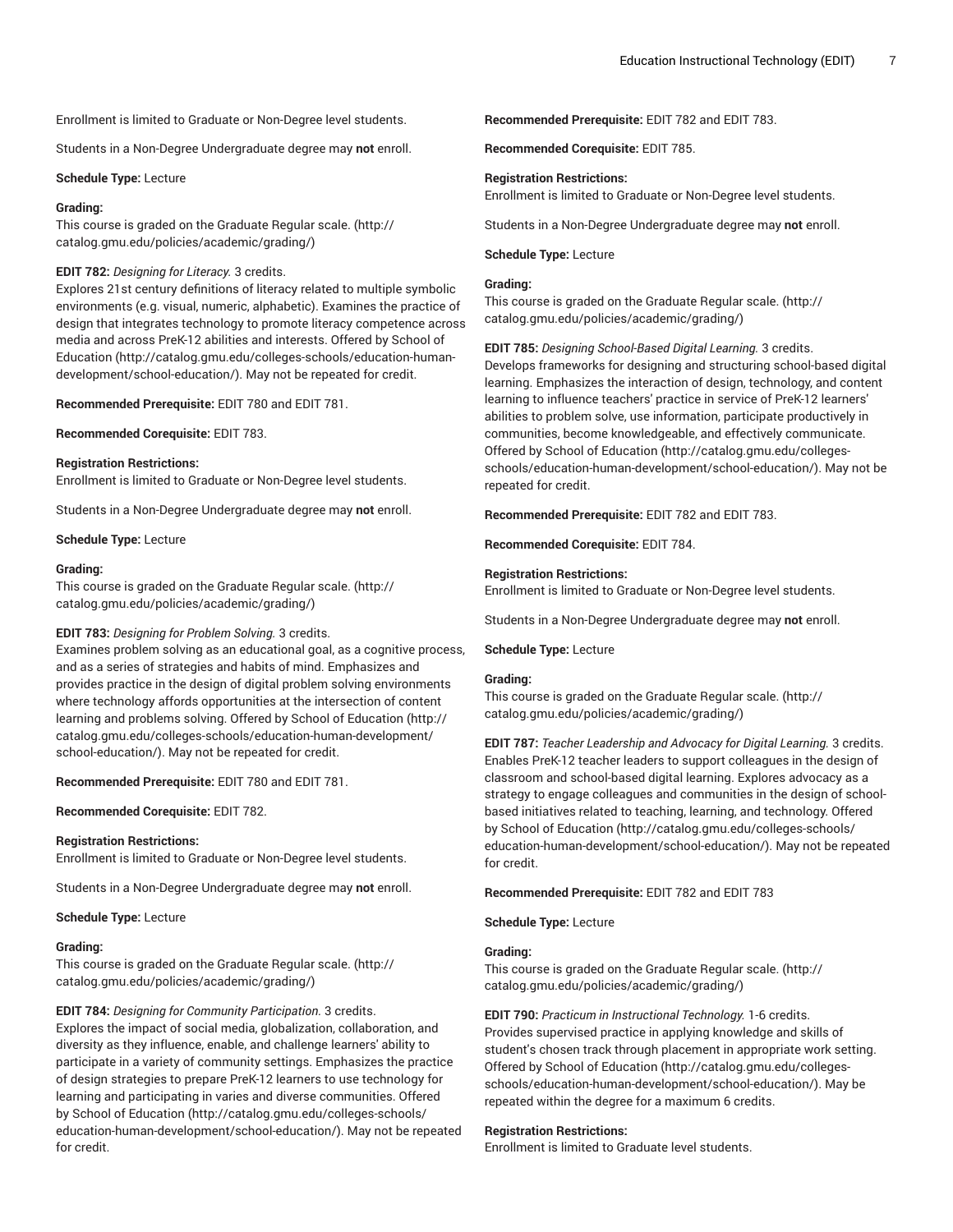Enrollment is limited to Graduate or Non-Degree level students.

Students in a Non-Degree Undergraduate degree may **not** enroll.

**Schedule Type:** Lecture

#### **Grading:**

This course is graded on the [Graduate Regular scale.](http://catalog.gmu.edu/policies/academic/grading/) [\(http://](http://catalog.gmu.edu/policies/academic/grading/) [catalog.gmu.edu/policies/academic/grading/\)](http://catalog.gmu.edu/policies/academic/grading/)

# **EDIT 782:** *Designing for Literacy.* 3 credits.

Explores 21st century definitions of literacy related to multiple symbolic environments (e.g. visual, numeric, alphabetic). Examines the practice of design that integrates technology to promote literacy competence across media and across PreK-12 abilities and interests. Offered by [School of](http://catalog.gmu.edu/colleges-schools/education-human-development/school-education/) [Education](http://catalog.gmu.edu/colleges-schools/education-human-development/school-education/) ([http://catalog.gmu.edu/colleges-schools/education-human](http://catalog.gmu.edu/colleges-schools/education-human-development/school-education/)[development/school-education/](http://catalog.gmu.edu/colleges-schools/education-human-development/school-education/)). May not be repeated for credit.

**Recommended Prerequisite:** EDIT 780 and EDIT 781.

**Recommended Corequisite:** EDIT 783.

# **Registration Restrictions:**

Enrollment is limited to Graduate or Non-Degree level students.

Students in a Non-Degree Undergraduate degree may **not** enroll.

**Schedule Type:** Lecture

#### **Grading:**

This course is graded on the [Graduate Regular scale.](http://catalog.gmu.edu/policies/academic/grading/) [\(http://](http://catalog.gmu.edu/policies/academic/grading/) [catalog.gmu.edu/policies/academic/grading/\)](http://catalog.gmu.edu/policies/academic/grading/)

# **EDIT 783:** *Designing for Problem Solving.* 3 credits.

Examines problem solving as an educational goal, as a cognitive process, and as a series of strategies and habits of mind. Emphasizes and provides practice in the design of digital problem solving environments where technology affords opportunities at the intersection of content learning and problems solving. Offered by School of [Education](http://catalog.gmu.edu/colleges-schools/education-human-development/school-education/) [\(http://](http://catalog.gmu.edu/colleges-schools/education-human-development/school-education/) [catalog.gmu.edu/colleges-schools/education-human-development/](http://catalog.gmu.edu/colleges-schools/education-human-development/school-education/) [school-education/](http://catalog.gmu.edu/colleges-schools/education-human-development/school-education/)). May not be repeated for credit.

**Recommended Prerequisite:** EDIT 780 and EDIT 781.

**Recommended Corequisite:** EDIT 782.

#### **Registration Restrictions:**

Enrollment is limited to Graduate or Non-Degree level students.

Students in a Non-Degree Undergraduate degree may **not** enroll.

**Schedule Type:** Lecture

#### **Grading:**

This course is graded on the [Graduate Regular scale.](http://catalog.gmu.edu/policies/academic/grading/) [\(http://](http://catalog.gmu.edu/policies/academic/grading/) [catalog.gmu.edu/policies/academic/grading/\)](http://catalog.gmu.edu/policies/academic/grading/)

**EDIT 784:** *Designing for Community Participation.* 3 credits. Explores the impact of social media, globalization, collaboration, and diversity as they influence, enable, and challenge learners' ability to participate in a variety of community settings. Emphasizes the practice of design strategies to prepare PreK-12 learners to use technology for learning and participating in varies and diverse communities. Offered by School of [Education \(http://catalog.gmu.edu/colleges-schools/](http://catalog.gmu.edu/colleges-schools/education-human-development/school-education/) [education-human-development/school-education/](http://catalog.gmu.edu/colleges-schools/education-human-development/school-education/)). May not be repeated for credit.

**Recommended Prerequisite:** EDIT 782 and EDIT 783.

**Recommended Corequisite:** EDIT 785.

# **Registration Restrictions:**

Enrollment is limited to Graduate or Non-Degree level students.

Students in a Non-Degree Undergraduate degree may **not** enroll.

# **Schedule Type:** Lecture

## **Grading:**

This course is graded on the [Graduate Regular scale.](http://catalog.gmu.edu/policies/academic/grading/) ([http://](http://catalog.gmu.edu/policies/academic/grading/) [catalog.gmu.edu/policies/academic/grading/](http://catalog.gmu.edu/policies/academic/grading/))

**EDIT 785:** *Designing School-Based Digital Learning.* 3 credits. Develops frameworks for designing and structuring school-based digital learning. Emphasizes the interaction of design, technology, and content learning to influence teachers' practice in service of PreK-12 learners' abilities to problem solve, use information, participate productively in communities, become knowledgeable, and effectively communicate. Offered by School of [Education \(http://catalog.gmu.edu/colleges](http://catalog.gmu.edu/colleges-schools/education-human-development/school-education/)[schools/education-human-development/school-education/](http://catalog.gmu.edu/colleges-schools/education-human-development/school-education/)). May not be repeated for credit.

**Recommended Prerequisite:** EDIT 782 and EDIT 783.

**Recommended Corequisite:** EDIT 784.

# **Registration Restrictions:**

Enrollment is limited to Graduate or Non-Degree level students.

Students in a Non-Degree Undergraduate degree may **not** enroll.

**Schedule Type:** Lecture

#### **Grading:**

This course is graded on the [Graduate Regular scale.](http://catalog.gmu.edu/policies/academic/grading/) ([http://](http://catalog.gmu.edu/policies/academic/grading/) [catalog.gmu.edu/policies/academic/grading/](http://catalog.gmu.edu/policies/academic/grading/))

**EDIT 787:** *Teacher Leadership and Advocacy for Digital Learning.* 3 credits. Enables PreK-12 teacher leaders to support colleagues in the design of classroom and school-based digital learning. Explores advocacy as a strategy to engage colleagues and communities in the design of schoolbased initiatives related to teaching, learning, and technology. Offered by School of [Education](http://catalog.gmu.edu/colleges-schools/education-human-development/school-education/) ([http://catalog.gmu.edu/colleges-schools/](http://catalog.gmu.edu/colleges-schools/education-human-development/school-education/) [education-human-development/school-education/\)](http://catalog.gmu.edu/colleges-schools/education-human-development/school-education/). May not be repeated for credit.

**Recommended Prerequisite:** EDIT 782 and EDIT 783

**Schedule Type:** Lecture

## **Grading:**

This course is graded on the [Graduate Regular scale.](http://catalog.gmu.edu/policies/academic/grading/) ([http://](http://catalog.gmu.edu/policies/academic/grading/) [catalog.gmu.edu/policies/academic/grading/](http://catalog.gmu.edu/policies/academic/grading/))

**EDIT 790:** *Practicum in Instructional Technology.* 1-6 credits. Provides supervised practice in applying knowledge and skills of student's chosen track through placement in appropriate work setting. Offered by School of [Education \(http://catalog.gmu.edu/colleges](http://catalog.gmu.edu/colleges-schools/education-human-development/school-education/)[schools/education-human-development/school-education/](http://catalog.gmu.edu/colleges-schools/education-human-development/school-education/)). May be repeated within the degree for a maximum 6 credits.

# **Registration Restrictions:**

Enrollment is limited to Graduate level students.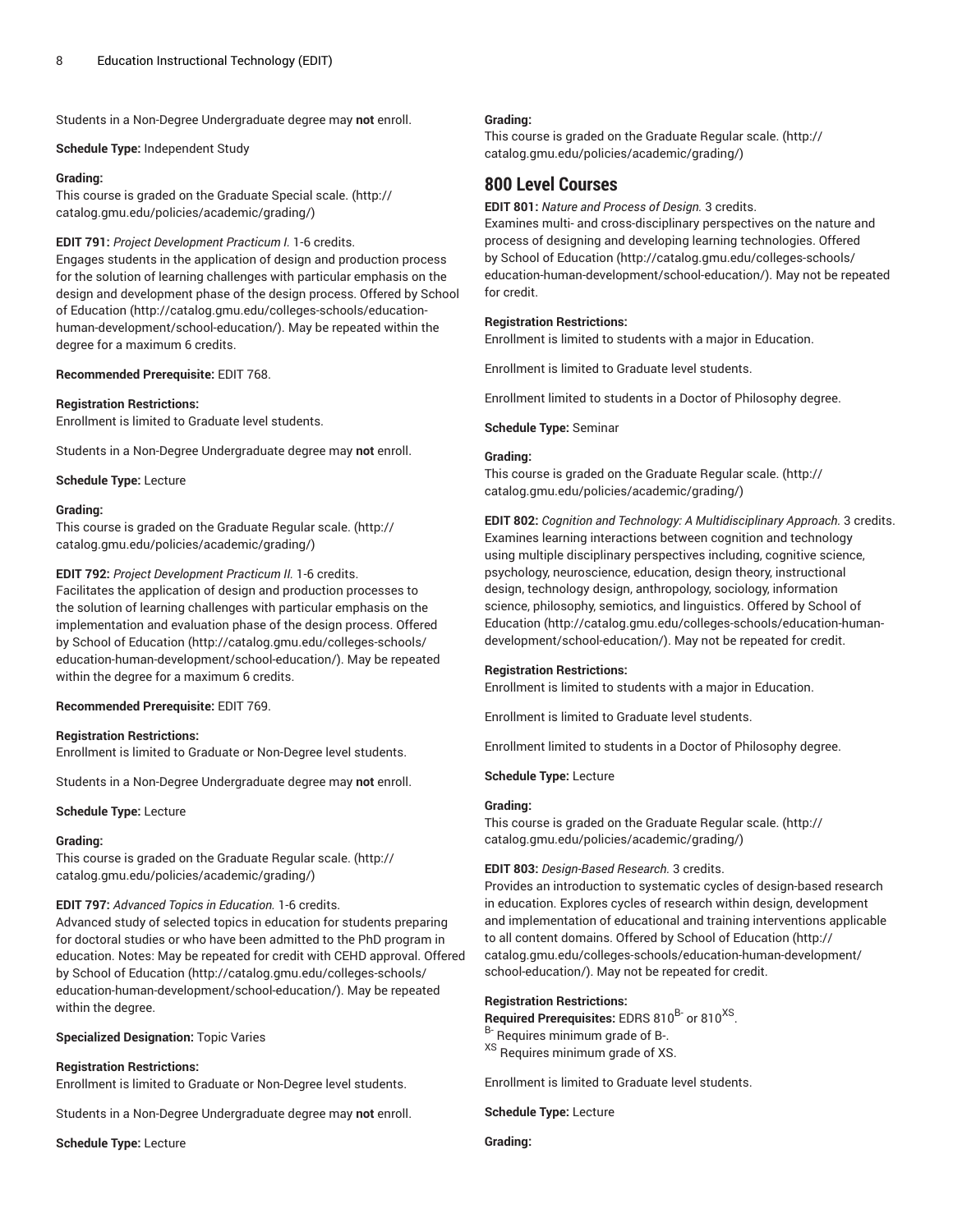Students in a Non-Degree Undergraduate degree may **not** enroll.

**Schedule Type:** Independent Study

# **Grading:**

This course is graded on the [Graduate Special scale.](http://catalog.gmu.edu/policies/academic/grading/) ([http://](http://catalog.gmu.edu/policies/academic/grading/) [catalog.gmu.edu/policies/academic/grading/\)](http://catalog.gmu.edu/policies/academic/grading/)

# **EDIT 791:** *Project Development Practicum I.* 1-6 credits.

Engages students in the application of design and production process for the solution of learning challenges with particular emphasis on the design and development phase of the design process. Offered by [School](http://catalog.gmu.edu/colleges-schools/education-human-development/school-education/) of [Education](http://catalog.gmu.edu/colleges-schools/education-human-development/school-education/) [\(http://catalog.gmu.edu/colleges-schools/education](http://catalog.gmu.edu/colleges-schools/education-human-development/school-education/)[human-development/school-education/](http://catalog.gmu.edu/colleges-schools/education-human-development/school-education/)). May be repeated within the degree for a maximum 6 credits.

# **Recommended Prerequisite:** EDIT 768.

## **Registration Restrictions:**

Enrollment is limited to Graduate level students.

Students in a Non-Degree Undergraduate degree may **not** enroll.

**Schedule Type:** Lecture

#### **Grading:**

This course is graded on the [Graduate Regular scale.](http://catalog.gmu.edu/policies/academic/grading/) [\(http://](http://catalog.gmu.edu/policies/academic/grading/) [catalog.gmu.edu/policies/academic/grading/\)](http://catalog.gmu.edu/policies/academic/grading/)

# **EDIT 792:** *Project Development Practicum II.* 1-6 credits.

Facilitates the application of design and production processes to the solution of learning challenges with particular emphasis on the implementation and evaluation phase of the design process. Offered by School of [Education \(http://catalog.gmu.edu/colleges-schools/](http://catalog.gmu.edu/colleges-schools/education-human-development/school-education/) [education-human-development/school-education/](http://catalog.gmu.edu/colleges-schools/education-human-development/school-education/)). May be repeated within the degree for a maximum 6 credits.

# **Recommended Prerequisite:** EDIT 769.

# **Registration Restrictions:**

Enrollment is limited to Graduate or Non-Degree level students.

Students in a Non-Degree Undergraduate degree may **not** enroll.

# **Schedule Type:** Lecture

#### **Grading:**

This course is graded on the [Graduate Regular scale.](http://catalog.gmu.edu/policies/academic/grading/) [\(http://](http://catalog.gmu.edu/policies/academic/grading/) [catalog.gmu.edu/policies/academic/grading/\)](http://catalog.gmu.edu/policies/academic/grading/)

# **EDIT 797:** *Advanced Topics in Education.* 1-6 credits.

Advanced study of selected topics in education for students preparing for doctoral studies or who have been admitted to the PhD program in education. Notes: May be repeated for credit with CEHD approval. Offered by School of [Education \(http://catalog.gmu.edu/colleges-schools/](http://catalog.gmu.edu/colleges-schools/education-human-development/school-education/) [education-human-development/school-education/](http://catalog.gmu.edu/colleges-schools/education-human-development/school-education/)). May be repeated within the degree.

#### **Specialized Designation:** Topic Varies

# **Registration Restrictions:**

Enrollment is limited to Graduate or Non-Degree level students.

Students in a Non-Degree Undergraduate degree may **not** enroll.

**Schedule Type:** Lecture

# **Grading:**

This course is graded on the [Graduate Regular scale.](http://catalog.gmu.edu/policies/academic/grading/) ([http://](http://catalog.gmu.edu/policies/academic/grading/) [catalog.gmu.edu/policies/academic/grading/](http://catalog.gmu.edu/policies/academic/grading/))

# **800 Level Courses**

**EDIT 801:** *Nature and Process of Design.* 3 credits.

Examines multi- and cross-disciplinary perspectives on the nature and process of designing and developing learning technologies. Offered by School of [Education](http://catalog.gmu.edu/colleges-schools/education-human-development/school-education/) ([http://catalog.gmu.edu/colleges-schools/](http://catalog.gmu.edu/colleges-schools/education-human-development/school-education/) [education-human-development/school-education/\)](http://catalog.gmu.edu/colleges-schools/education-human-development/school-education/). May not be repeated for credit.

# **Registration Restrictions:**

Enrollment is limited to students with a major in Education.

Enrollment is limited to Graduate level students.

Enrollment limited to students in a Doctor of Philosophy degree.

**Schedule Type:** Seminar

#### **Grading:**

This course is graded on the [Graduate Regular scale.](http://catalog.gmu.edu/policies/academic/grading/) ([http://](http://catalog.gmu.edu/policies/academic/grading/) [catalog.gmu.edu/policies/academic/grading/](http://catalog.gmu.edu/policies/academic/grading/))

**EDIT 802:** *Cognition and Technology: A Multidisciplinary Approach.* 3 credits. Examines learning interactions between cognition and technology using multiple disciplinary perspectives including, cognitive science, psychology, neuroscience, education, design theory, instructional design, technology design, anthropology, sociology, information science, philosophy, semiotics, and linguistics. Offered by [School of](http://catalog.gmu.edu/colleges-schools/education-human-development/school-education/) [Education \(http://catalog.gmu.edu/colleges-schools/education-human](http://catalog.gmu.edu/colleges-schools/education-human-development/school-education/)[development/school-education/\)](http://catalog.gmu.edu/colleges-schools/education-human-development/school-education/). May not be repeated for credit.

# **Registration Restrictions:**

Enrollment is limited to students with a major in Education.

Enrollment is limited to Graduate level students.

Enrollment limited to students in a Doctor of Philosophy degree.

**Schedule Type:** Lecture

# **Grading:**

This course is graded on the [Graduate Regular scale.](http://catalog.gmu.edu/policies/academic/grading/) ([http://](http://catalog.gmu.edu/policies/academic/grading/) [catalog.gmu.edu/policies/academic/grading/](http://catalog.gmu.edu/policies/academic/grading/))

# **EDIT 803:** *Design-Based Research.* 3 credits.

Provides an introduction to systematic cycles of design-based research in education. Explores cycles of research within design, development and implementation of educational and training interventions applicable to all content domains. Offered by School of [Education](http://catalog.gmu.edu/colleges-schools/education-human-development/school-education/) ([http://](http://catalog.gmu.edu/colleges-schools/education-human-development/school-education/) [catalog.gmu.edu/colleges-schools/education-human-development/](http://catalog.gmu.edu/colleges-schools/education-human-development/school-education/) [school-education/\)](http://catalog.gmu.edu/colleges-schools/education-human-development/school-education/). May not be repeated for credit.

# **Registration Restrictions:**

Required Prerequisites: EDRS 810<sup>B-</sup> or 810<sup>XS</sup>.

- <sup>B-</sup> Requires minimum grade of B-.
- XS Requires minimum grade of XS.

Enrollment is limited to Graduate level students.

**Schedule Type:** Lecture

**Grading:**